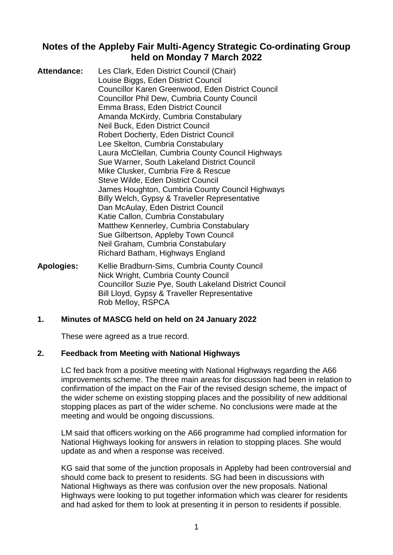# **Notes of the Appleby Fair Multi-Agency Strategic Co-ordinating Group held on Monday 7 March 2022**

| <b>Attendance:</b> | Les Clark, Eden District Council (Chair)<br>Louise Biggs, Eden District Council<br><b>Councillor Karen Greenwood, Eden District Council</b><br><b>Councillor Phil Dew, Cumbria County Council</b><br>Emma Brass, Eden District Council                                                |
|--------------------|---------------------------------------------------------------------------------------------------------------------------------------------------------------------------------------------------------------------------------------------------------------------------------------|
|                    | Amanda McKirdy, Cumbria Constabulary<br>Neil Buck, Eden District Council<br><b>Robert Docherty, Eden District Council</b><br>Lee Skelton, Cumbria Constabulary                                                                                                                        |
|                    | Laura McClellan, Cumbria County Council Highways<br>Sue Warner, South Lakeland District Council<br>Mike Clusker, Cumbria Fire & Rescue<br>Steve Wilde, Eden District Council<br>James Houghton, Cumbria County Council Highways                                                       |
|                    | Billy Welch, Gypsy & Traveller Representative<br>Dan McAulay, Eden District Council<br>Katie Callon, Cumbria Constabulary<br>Matthew Kennerley, Cumbria Constabulary<br>Sue Gilbertson, Appleby Town Council<br>Neil Graham, Cumbria Constabulary<br>Richard Batham, Highways England |
| Apologies:         | Kellie Bradburn-Sims, Cumbria County Council<br>$\blacksquare$ . The state of $\blacksquare$                                                                                                                                                                                          |

Nick Wright, Cumbria County Council Councillor Suzie Pye, South Lakeland District Council Bill Lloyd, Gypsy & Traveller Representative Rob Melloy, RSPCA

### **1. Minutes of MASCG held on held on 24 January 2022**

These were agreed as a true record.

#### **2. Feedback from Meeting with National Highways**

LC fed back from a positive meeting with National Highways regarding the A66 improvements scheme. The three main areas for discussion had been in relation to confirmation of the impact on the Fair of the revised design scheme, the impact of the wider scheme on existing stopping places and the possibility of new additional stopping places as part of the wider scheme. No conclusions were made at the meeting and would be ongoing discussions.

LM said that officers working on the A66 programme had complied information for National Highways looking for answers in relation to stopping places. She would update as and when a response was received.

KG said that some of the junction proposals in Appleby had been controversial and should come back to present to residents. SG had been in discussions with National Highways as there was confusion over the new proposals. National Highways were looking to put together information which was clearer for residents and had asked for them to look at presenting it in person to residents if possible.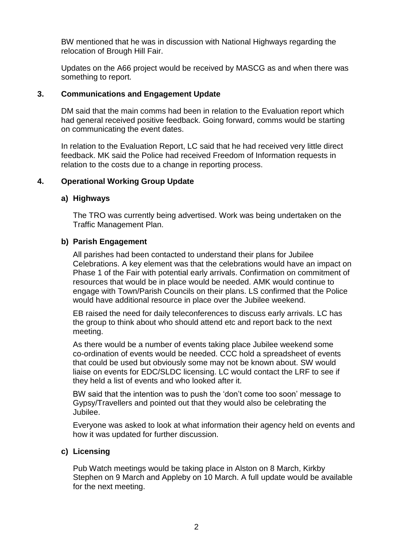BW mentioned that he was in discussion with National Highways regarding the relocation of Brough Hill Fair.

Updates on the A66 project would be received by MASCG as and when there was something to report.

# **3. Communications and Engagement Update**

DM said that the main comms had been in relation to the Evaluation report which had general received positive feedback. Going forward, comms would be starting on communicating the event dates.

In relation to the Evaluation Report, LC said that he had received very little direct feedback. MK said the Police had received Freedom of Information requests in relation to the costs due to a change in reporting process.

# **4. Operational Working Group Update**

### **a) Highways**

The TRO was currently being advertised. Work was being undertaken on the Traffic Management Plan.

### **b) Parish Engagement**

All parishes had been contacted to understand their plans for Jubilee Celebrations. A key element was that the celebrations would have an impact on Phase 1 of the Fair with potential early arrivals. Confirmation on commitment of resources that would be in place would be needed. AMK would continue to engage with Town/Parish Councils on their plans. LS confirmed that the Police would have additional resource in place over the Jubilee weekend.

EB raised the need for daily teleconferences to discuss early arrivals. LC has the group to think about who should attend etc and report back to the next meeting.

As there would be a number of events taking place Jubilee weekend some co-ordination of events would be needed. CCC hold a spreadsheet of events that could be used but obviously some may not be known about. SW would liaise on events for EDC/SLDC licensing. LC would contact the LRF to see if they held a list of events and who looked after it.

BW said that the intention was to push the 'don't come too soon' message to Gypsy/Travellers and pointed out that they would also be celebrating the Jubilee.

Everyone was asked to look at what information their agency held on events and how it was updated for further discussion.

### **c) Licensing**

Pub Watch meetings would be taking place in Alston on 8 March, Kirkby Stephen on 9 March and Appleby on 10 March. A full update would be available for the next meeting.